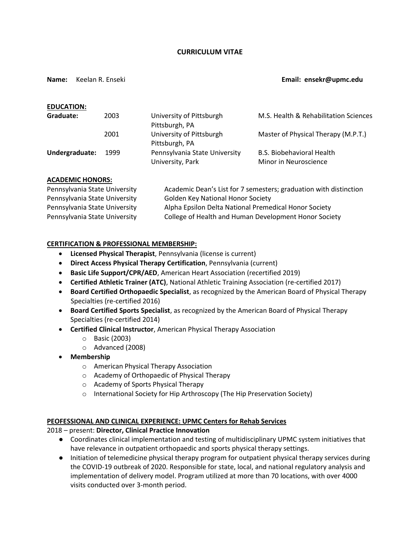### **CURRICULUM VITAE**

### **Name:** Keelan R. Enseki **Email: ensekr@upmc.edu**

| <b>EDUCATION:</b> |      |                                                   |                                                           |
|-------------------|------|---------------------------------------------------|-----------------------------------------------------------|
| Graduate:         | 2003 | University of Pittsburgh<br>Pittsburgh, PA        | M.S. Health & Rehabilitation Sciences                     |
|                   | 2001 | University of Pittsburgh<br>Pittsburgh, PA        | Master of Physical Therapy (M.P.T.)                       |
| Undergraduate:    | 1999 | Pennsylvania State University<br>University, Park | <b>B.S. Biobehavioral Health</b><br>Minor in Neuroscience |

### **ACADEMIC HONORS:**

| Pennsylvania State University | Academic Dean's List for 7 semesters; graduation with distinction |
|-------------------------------|-------------------------------------------------------------------|
| Pennsylvania State University | <b>Golden Key National Honor Society</b>                          |
| Pennsylvania State University | Alpha Epsilon Delta National Premedical Honor Society             |
| Pennsylvania State University | College of Health and Human Development Honor Society             |

# **CERTIFICATION & PROFESSIONAL MEMBERSHIP:**

- **Licensed Physical Therapist**, Pennsylvania (license is current)
- **Direct Access Physical Therapy Certification**, Pennsylvania (current)
- **Basic Life Support/CPR/AED**, American Heart Association (recertified 2019)
- **Certified Athletic Trainer (ATC)**, National Athletic Training Association (re-certified 2017)
- **Board Certified Orthopaedic Specialist**, as recognized by the American Board of Physical Therapy Specialties (re-certified 2016)
- **Board Certified Sports Specialist**, as recognized by the American Board of Physical Therapy Specialties (re-certified 2014)
- **Certified Clinical Instructor**, American Physical Therapy Association
	- o Basic (2003) o Advanced (2008)
- **Membership**
	- o American Physical Therapy Association
		- o Academy of Orthopaedic of Physical Therapy
		- o Academy of Sports Physical Therapy
		- o International Society for Hip Arthroscopy (The Hip Preservation Society)

### **PEOFESSIONAL AND CLINICAL EXPERIENCE: UPMC Centers for Rehab Services**

# 2018 – present: **Director, Clinical Practice Innovation**

- Coordinates clinical implementation and testing of multidisciplinary UPMC system initiatives that have relevance in outpatient orthopaedic and sports physical therapy settings.
- Initiation of telemedicine physical therapy program for outpatient physical therapy services during the COVID-19 outbreak of 2020. Responsible for state, local, and national regulatory analysis and implementation of delivery model. Program utilized at more than 70 locations, with over 4000 visits conducted over 3-month period.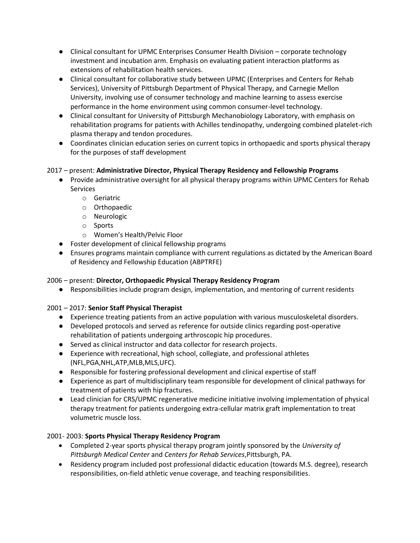- Clinical consultant for UPMC Enterprises Consumer Health Division corporate technology investment and incubation arm. Emphasis on evaluating patient interaction platforms as extensions of rehabilitation health services.
- Clinical consultant for collaborative study between UPMC (Enterprises and Centers for Rehab Services), University of Pittsburgh Department of Physical Therapy, and Carnegie Mellon University, involving use of consumer technology and machine learning to assess exercise performance in the home environment using common consumer-level technology.
- Clinical consultant for University of Pittsburgh Mechanobiology Laboratory, with emphasis on rehabilitation programs for patients with Achilles tendinopathy, undergoing combined platelet-rich plasma therapy and tendon procedures.
- Coordinates clinician education series on current topics in orthopaedic and sports physical therapy for the purposes of staff development

# 2017 – present: **Administrative Director, Physical Therapy Residency and Fellowship Programs**

- Provide administrative oversight for all physical therapy programs within UPMC Centers for Rehab Services
	- o Geriatric
	- o Orthopaedic
	- o Neurologic
	- o Sports
	- o Women's Health/Pelvic Floor
- Foster development of clinical fellowship programs
- Ensures programs maintain compliance with current regulations as dictated by the American Board of Residency and Fellowship Education (ABPTRFE)

# 2006 – present: **Director, Orthopaedic Physical Therapy Residency Program**

● Responsibilities include program design, implementation, and mentoring of current residents

# 2001 – 2017: **Senior Staff Physical Therapist**

- Experience treating patients from an active population with various musculoskeletal disorders.
- Developed protocols and served as reference for outside clinics regarding post-operative rehabilitation of patients undergoing arthroscopic hip procedures.
- Served as clinical instructor and data collector for research projects.
- Experience with recreational, high school, collegiate, and professional athletes (NFL,PGA,NHL,ATP,MLB,MLS,UFC).
- Responsible for fostering professional development and clinical expertise of staff
- Experience as part of multidisciplinary team responsible for development of clinical pathways for treatment of patients with hip fractures.
- Lead clinician for CRS/UPMC regenerative medicine initiative involving implementation of physical therapy treatment for patients undergoing extra-cellular matrix graft implementation to treat volumetric muscle loss.

# 2001- 2003: **Sports Physical Therapy Residency Program**

- Completed 2-year sports physical therapy program jointly sponsored by the *University of Pittsburgh Medical Center* and *Centers for Rehab Services*,Pittsburgh, PA.
- Residency program included post professional didactic education (towards M.S. degree), research responsibilities, on-field athletic venue coverage, and teaching responsibilities.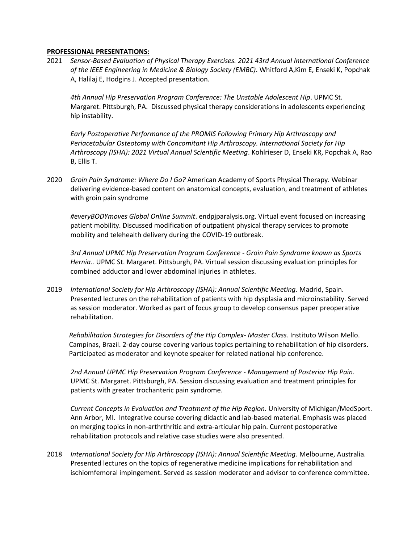### **PROFESSIONAL PRESENTATIONS:**

2021 *Sensor-Based Evaluation of Physical Therapy Exercises. 2021 43rd Annual International Conference of the IEEE Engineering in Medicine & Biology Society (EMBC)*. Whitford A,Kim E, Enseki K, Popchak A, Halilaj E, Hodgins J. Accepted presentation.

*4th Annual Hip Preservation Program Conference: The Unstable Adolescent Hip*. UPMC St. Margaret. Pittsburgh, PA. Discussed physical therapy considerations in adolescents experiencing hip instability.

*Early Postoperative Performance of the PROMIS Following Primary Hip Arthroscopy and Periacetabular Osteotomy with Concomitant Hip Arthroscopy. International Society for Hip Arthroscopy (ISHA): 2021 Virtual Annual Scientific Meeting*. Kohlrieser D, Enseki KR, Popchak A, Rao B, Ellis T.

2020 *Groin Pain Syndrome: Where Do I Go?* American Academy of Sports Physical Therapy. Webinar delivering evidence-based content on anatomical concepts, evaluation, and treatment of athletes with groin pain syndrome

*#everyBODYmoves Global Online Summit*. endpjparalysis.org. Virtual event focused on increasing patient mobility. Discussed modification of outpatient physical therapy services to promote mobility and telehealth delivery during the COVID-19 outbreak.

*3rd Annual UPMC Hip Preservation Program Conference - Groin Pain Syndrome known as Sports Hernia..* UPMC St. Margaret. Pittsburgh, PA. Virtual session discussing evaluation principles for combined adductor and lower abdominal injuries in athletes.

2019 *International Society for Hip Arthroscopy (ISHA): Annual Scientific Meeting*. Madrid, Spain. Presented lectures on the rehabilitation of patients with hip dysplasia and microinstability. Served as session moderator. Worked as part of focus group to develop consensus paper preoperative rehabilitation.

*Rehabilitation Strategies for Disorders of the Hip Complex- Master Class.* Instituto Wilson Mello. Campinas, Brazil. 2-day course covering various topics pertaining to rehabilitation of hip disorders. Participated as moderator and keynote speaker for related national hip conference.

*2nd Annual UPMC Hip Preservation Program Conference - Management of Posterior Hip Pain.* UPMC St. Margaret. Pittsburgh, PA. Session discussing evaluation and treatment principles for patients with greater trochanteric pain syndrome.

*Current Concepts in Evaluation and Treatment of the Hip Region.* University of Michigan/MedSport. Ann Arbor, MI. Integrative course covering didactic and lab-based material. Emphasis was placed on merging topics in non-arthrthritic and extra-articular hip pain. Current postoperative rehabilitation protocols and relative case studies were also presented.

2018 *International Society for Hip Arthroscopy (ISHA): Annual Scientific Meeting*. Melbourne, Australia. Presented lectures on the topics of regenerative medicine implications for rehabilitation and ischiomfemoral impingement. Served as session moderator and advisor to conference committee.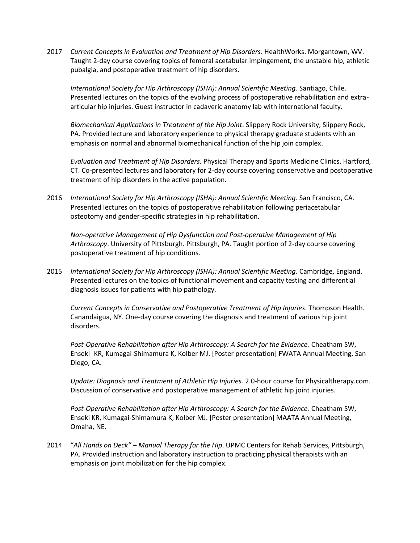2017 *Current Concepts in Evaluation and Treatment of Hip Disorders*. HealthWorks. Morgantown, WV. Taught 2-day course covering topics of femoral acetabular impingement, the unstable hip, athletic pubalgia, and postoperative treatment of hip disorders.

*International Society for Hip Arthroscopy (ISHA): Annual Scientific Meeting*. Santiago, Chile. Presented lectures on the topics of the evolving process of postoperative rehabilitation and extraarticular hip injuries. Guest instructor in cadaveric anatomy lab with international faculty.

*Biomechanical Applications in Treatment of the Hip Joint*. Slippery Rock University, Slippery Rock, PA. Provided lecture and laboratory experience to physical therapy graduate students with an emphasis on normal and abnormal biomechanical function of the hip join complex.

*Evaluation and Treatment of Hip Disorders*. Physical Therapy and Sports Medicine Clinics. Hartford, CT. Co-presented lectures and laboratory for 2-day course covering conservative and postoperative treatment of hip disorders in the active population.

2016 *International Society for Hip Arthroscopy (ISHA): Annual Scientific Meeting*. San Francisco, CA. Presented lectures on the topics of postoperative rehabilitation following periacetabular osteotomy and gender-specific strategies in hip rehabilitation.

*Non-operative Management of Hip Dysfunction and Post-operative Management of Hip Arthroscopy*. University of Pittsburgh. Pittsburgh, PA. Taught portion of 2-day course covering postoperative treatment of hip conditions.

2015 *International Society for Hip Arthroscopy (ISHA): Annual Scientific Meeting*. Cambridge, England. Presented lectures on the topics of functional movement and capacity testing and differential diagnosis issues for patients with hip pathology.

*Current Concepts in Conservative and Postoperative Treatment of Hip Injuries*. Thompson Health. Canandaigua, NY. One-day course covering the diagnosis and treatment of various hip joint disorders.

*Post-Operative Rehabilitation after Hip Arthroscopy: A Search for the Evidence.* Cheatham SW, Enseki KR, Kumagai-Shimamura K, Kolber MJ. [Poster presentation] FWATA Annual Meeting, San Diego, CA.

*Update: Diagnosis and Treatment of Athletic Hip Injuries.* 2.0-hour course for Physicaltherapy.com. Discussion of conservative and postoperative management of athletic hip joint injuries.

*Post-Operative Rehabilitation after Hip Arthroscopy: A Search for the Evidence.* Cheatham SW, Enseki KR, Kumagai-Shimamura K, Kolber MJ. [Poster presentation] MAATA Annual Meeting, Omaha, NE.

2014 "*All Hands on Deck" – Manual Therapy for the Hip*. UPMC Centers for Rehab Services, Pittsburgh, PA. Provided instruction and laboratory instruction to practicing physical therapists with an emphasis on joint mobilization for the hip complex.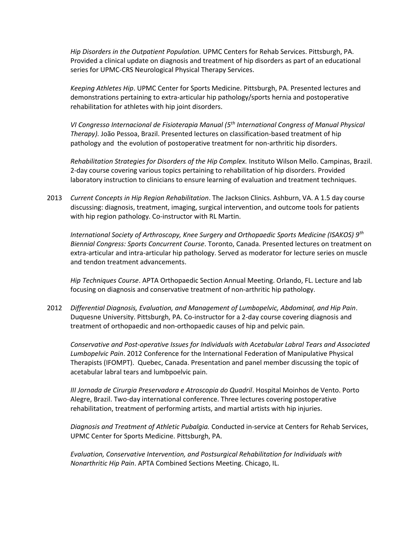*Hip Disorders in the Outpatient Population.* UPMC Centers for Rehab Services. Pittsburgh, PA. Provided a clinical update on diagnosis and treatment of hip disorders as part of an educational series for UPMC-CRS Neurological Physical Therapy Services.

*Keeping Athletes Hip*. UPMC Center for Sports Medicine. Pittsburgh, PA. Presented lectures and demonstrations pertaining to extra-articular hip pathology/sports hernia and postoperative rehabilitation for athletes with hip joint disorders.

*VI Congresso Internacional de Fisioterapia Manual (5th International Congress of Manual Physical Therapy).* João Pessoa, Brazil. Presented lectures on classification-based treatment of hip pathology and the evolution of postoperative treatment for non-arthritic hip disorders.

*Rehabilitation Strategies for Disorders of the Hip Complex.* Instituto Wilson Mello. Campinas, Brazil. 2-day course covering various topics pertaining to rehabilitation of hip disorders. Provided laboratory instruction to clinicians to ensure learning of evaluation and treatment techniques.

2013 *Current Concepts in Hip Region Rehabilitation*. The Jackson Clinics. Ashburn, VA. A 1.5 day course discussing: diagnosis, treatment, imaging, surgical intervention, and outcome tools for patients with hip region pathology. Co-instructor with RL Martin.

*International Society of Arthroscopy, Knee Surgery and Orthopaedic Sports Medicine (ISAKOS) 9th Biennial Congress: Sports Concurrent Course*. Toronto, Canada. Presented lectures on treatment on extra-articular and intra-articular hip pathology. Served as moderator for lecture series on muscle and tendon treatment advancements.

*Hip Techniques Course*. APTA Orthopaedic Section Annual Meeting. Orlando, FL. Lecture and lab focusing on diagnosis and conservative treatment of non-arthritic hip pathology.

2012 *Differential Diagnosis, Evaluation, and Management of Lumbopelvic, Abdominal, and Hip Pain*. Duquesne University. Pittsburgh, PA. Co-instructor for a 2-day course covering diagnosis and treatment of orthopaedic and non-orthopaedic causes of hip and pelvic pain.

*Conservative and Post-operative Issues for Individuals with Acetabular Labral Tears and Associated Lumbopelvic Pain*. 2012 Conference for the International Federation of Manipulative Physical Therapists (IFOMPT). Quebec, Canada. Presentation and panel member discussing the topic of acetabular labral tears and lumbpoelvic pain.

*III Jornada de Cirurgia Preservadora e Atroscopia do Quadril*. Hospital Moinhos de Vento. Porto Alegre, Brazil. Two-day international conference. Three lectures covering postoperative rehabilitation, treatment of performing artists, and martial artists with hip injuries.

*Diagnosis and Treatment of Athletic Pubalgia.* Conducted in-service at Centers for Rehab Services, UPMC Center for Sports Medicine. Pittsburgh, PA.

*Evaluation, Conservative Intervention, and Postsurgical Rehabilitation for Individuals with Nonarthritic Hip Pain*. APTA Combined Sections Meeting. Chicago, IL.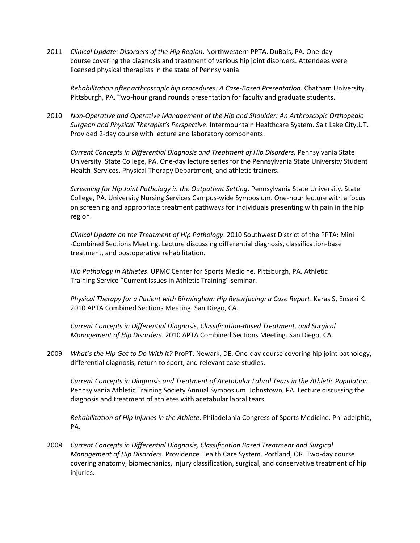2011 *Clinical Update: Disorders of the Hip Region*. Northwestern PPTA. DuBois, PA. One-day course covering the diagnosis and treatment of various hip joint disorders. Attendees were licensed physical therapists in the state of Pennsylvania.

*Rehabilitation after arthroscopic hip procedures: A Case-Based Presentation*. Chatham University. Pittsburgh, PA. Two-hour grand rounds presentation for faculty and graduate students.

2010 *Non-Operative and Operative Management of the Hip and Shoulder: An Arthroscopic Orthopedic Surgeon and Physical Therapist's Perspective*. Intermountain Healthcare System. Salt Lake City,UT. Provided 2-day course with lecture and laboratory components.

*Current Concepts in Differential Diagnosis and Treatment of Hip Disorders.* Pennsylvania State University. State College, PA. One-day lecture series for the Pennsylvania State University Student Health Services, Physical Therapy Department, and athletic trainers.

*Screening for Hip Joint Pathology in the Outpatient Setting*. Pennsylvania State University. State College, PA. University Nursing Services Campus-wide Symposium. One-hour lecture with a focus on screening and appropriate treatment pathways for individuals presenting with pain in the hip region.

*Clinical Update on the Treatment of Hip Pathology*. 2010 Southwest District of the PPTA: Mini -Combined Sections Meeting. Lecture discussing differential diagnosis, classification-base treatment, and postoperative rehabilitation.

 *Hip Pathology in Athletes*. UPMC Center for Sports Medicine. Pittsburgh, PA. Athletic Training Service "Current Issues in Athletic Training" seminar.

*Physical Therapy for a Patient with Birmingham Hip Resurfacing: a Case Report*. Karas S, Enseki K. 2010 APTA Combined Sections Meeting. San Diego, CA.

*Current Concepts in Differential Diagnosis, Classification-Based Treatment, and Surgical Management of Hip Disorders*. 2010 APTA Combined Sections Meeting. San Diego, CA.

2009 *What's the Hip Got to Do With It?* ProPT. Newark, DE. One-day course covering hip joint pathology, differential diagnosis, return to sport, and relevant case studies.

*Current Concepts in Diagnosis and Treatment of Acetabular Labral Tears in the Athletic Population*. Pennsylvania Athletic Training Society Annual Symposium. Johnstown, PA. Lecture discussing the diagnosis and treatment of athletes with acetabular labral tears.

 *Rehabilitation of Hip Injuries in the Athlete*. Philadelphia Congress of Sports Medicine. Philadelphia, PA.

2008 *Current Concepts in Differential Diagnosis, Classification Based Treatment and Surgical Management of Hip Disorders*. Providence Health Care System. Portland, OR. Two-day course covering anatomy, biomechanics, injury classification, surgical, and conservative treatment of hip injuries.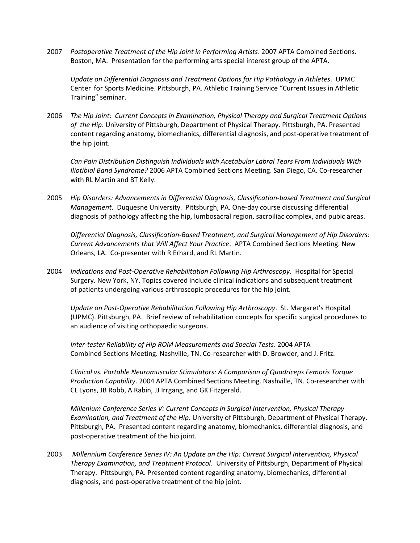2007 *Postoperative Treatment of the Hip Joint in Performing Artists*. 2007 APTA Combined Sections. Boston, MA. Presentation for the performing arts special interest group of the APTA.

*Update on Differential Diagnosis and Treatment Options for Hip Pathology in Athletes*. UPMC Center for Sports Medicine. Pittsburgh, PA. Athletic Training Service "Current Issues in Athletic Training" seminar.

2006 *The Hip Joint: Current Concepts in Examination, Physical Therapy and Surgical Treatment Options of the Hip*. University of Pittsburgh, Department of Physical Therapy. Pittsburgh, PA. Presented content regarding anatomy, biomechanics, differential diagnosis, and post-operative treatment of the hip joint.

 *Can Pain Distribution Distinguish Individuals with Acetabular Labral Tears From Individuals With Iliotibial Band Syndrome?* 2006 APTA Combined Sections Meeting. San Diego, CA. Co-researcher with RL Martin and BT Kelly.

2005 *Hip Disorders: Advancements in Differential Diagnosis, Classification-based Treatment and Surgical Management*. Duquesne University. Pittsburgh, PA. One-day course discussing differential diagnosis of pathology affecting the hip, lumbosacral region, sacroiliac complex, and pubic areas.

 *Differential Diagnosis, Classification-Based Treatment, and Surgical Management of Hip Disorders: Current Advancements that Will Affect Your Practice*. APTA Combined Sections Meeting. New Orleans, LA. Co-presenter with R Erhard, and RL Martin.

2004 *Indications and Post-Operative Rehabilitation Following Hip Arthroscopy.* Hospital for Special Surgery. New York, NY. Topics covered include clinical indications and subsequent treatment of patients undergoing various arthroscopic procedures for the hip joint.

*Update on Post-Operative Rehabilitation Following Hip Arthroscopy*. St. Margaret's Hospital (UPMC). Pittsburgh, PA. Brief review of rehabilitation concepts for specific surgical procedures to an audience of visiting orthopaedic surgeons.

*Inter-tester Reliability of Hip ROM Measurements and Special Tests*. 2004 APTA Combined Sections Meeting. Nashville, TN. Co-researcher with D. Browder, and J. Fritz.

C*linical vs. Portable Neuromuscular Stimulators: A Comparison of Quadriceps Femoris Torque Production Capability*. 2004 APTA Combined Sections Meeting. Nashville, TN. Co-researcher with CL Lyons, JB Robb, A Rabin, JJ Irrgang, and GK Fitzgerald.

*Millenium Conference Series V: Current Concepts in Surgical Intervention, Physical Therapy Examination, and Treatment of the Hip*. University of Pittsburgh, Department of Physical Therapy. Pittsburgh, PA. Presented content regarding anatomy, biomechanics, differential diagnosis, and post-operative treatment of the hip joint.

2003 *Millennium Conference Series IV: An Update on the Hip: Current Surgical Intervention, Physical Therapy Examination, and Treatment Protocol*. University of Pittsburgh, Department of Physical Therapy. Pittsburgh, PA. Presented content regarding anatomy, biomechanics, differential diagnosis, and post-operative treatment of the hip joint.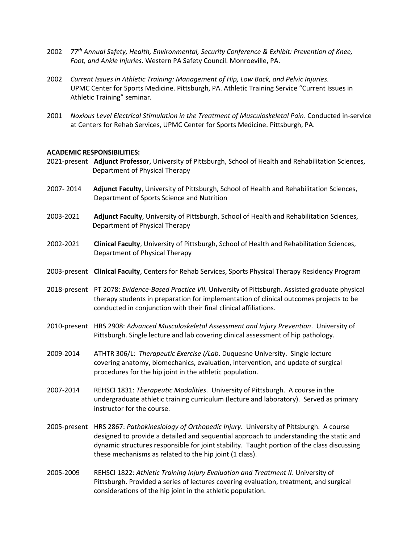- 2002 *77th Annual S*a*fety, Health, Environmental, Security Conference & Exhibit: Prevention of Knee, Foot, and Ankle Injuries*. Western PA Safety Council. Monroeville, PA.
- 2002 *Current Issues in Athletic Training: Management of Hip, Low Back, and Pelvic Injuries.*  UPMC Center for Sports Medicine. Pittsburgh, PA. Athletic Training Service "Current Issues in Athletic Training" seminar.
- 2001 *Noxious Level Electrical Stimulation in the Treatment of Musculoskeletal Pain*. Conducted in-service at Centers for Rehab Services, UPMC Center for Sports Medicine. Pittsburgh, PA.

### **ACADEMIC RESPONSIBILITIES:**

- 2021-present **Adjunct Professor**, University of Pittsburgh, School of Health and Rehabilitation Sciences, Department of Physical Therapy
- 2007- 2014 **Adjunct Faculty**, University of Pittsburgh, School of Health and Rehabilitation Sciences, Department of Sports Science and Nutrition
- 2003-2021 **Adjunct Faculty**, University of Pittsburgh, School of Health and Rehabilitation Sciences, Department of Physical Therapy
- 2002-2021 **Clinical Faculty**, University of Pittsburgh, School of Health and Rehabilitation Sciences, Department of Physical Therapy
- 2003-present **Clinical Faculty**, Centers for Rehab Services, Sports Physical Therapy Residency Program
- 2018-present PT 2078: *Evidence-Based Practice VII.* University of Pittsburgh. Assisted graduate physical therapy students in preparation for implementation of clinical outcomes projects to be conducted in conjunction with their final clinical affiliations.
- 2010-present HRS 2908: *Advanced Musculoskeletal Assessment and Injury Prevention*. University of Pittsburgh. Single lecture and lab covering clinical assessment of hip pathology.
- 2009-2014 ATHTR 306/L: *Therapeutic Exercise I/Lab*. Duquesne University. Single lecture covering anatomy, biomechanics, evaluation, intervention, and update of surgical procedures for the hip joint in the athletic population.
- 2007-2014 REHSCI 1831: *Therapeutic Modalities*. University of Pittsburgh. A course in the undergraduate athletic training curriculum (lecture and laboratory). Served as primary instructor for the course.
- 2005-present HRS 2867: *Pathokinesiology of Orthopedic Injury*. University of Pittsburgh. A course designed to provide a detailed and sequential approach to understanding the static and dynamic structures responsible for joint stability. Taught portion of the class discussing these mechanisms as related to the hip joint (1 class).
- 2005-2009 REHSCI 1822: *Athletic Training Injury Evaluation and Treatment II*. University of Pittsburgh. Provided a series of lectures covering evaluation, treatment, and surgical considerations of the hip joint in the athletic population.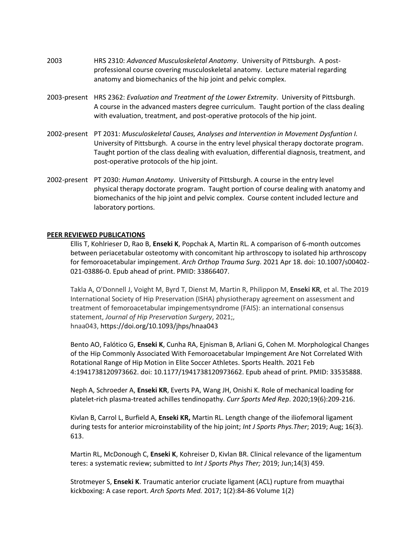- 2003 HRS 2310: *Advanced Musculoskeletal Anatomy*. University of Pittsburgh. A postprofessional course covering musculoskeletal anatomy. Lecture material regarding anatomy and biomechanics of the hip joint and pelvic complex.
- 2003-present HRS 2362: *Evaluation and Treatment of the Lower Extremity*. University of Pittsburgh. A course in the advanced masters degree curriculum. Taught portion of the class dealing with evaluation, treatment, and post-operative protocols of the hip joint.
- 2002-present PT 2031: *Musculoskeletal Causes, Analyses and Intervention in Movement Dysfuntion I.* University of Pittsburgh. A course in the entry level physical therapy doctorate program. Taught portion of the class dealing with evaluation, differential diagnosis, treatment, and post-operative protocols of the hip joint.
- 2002-present PT 2030: *Human Anatomy*. University of Pittsburgh. A course in the entry level physical therapy doctorate program. Taught portion of course dealing with anatomy and biomechanics of the hip joint and pelvic complex. Course content included lecture and laboratory portions.

### **PEER REVIEWED PUBLICATIONS**

Ellis T, Kohlrieser D, Rao B, **Enseki K**, Popchak A, Martin RL. A comparison of 6-month outcomes between periacetabular osteotomy with concomitant hip arthroscopy to isolated hip arthroscopy for femoroacetabular impingement. *Arch Orthop Trauma Surg*. 2021 Apr 18. doi: 10.1007/s00402- 021-03886-0. Epub ahead of print. PMID: 33866407.

Takla A, O'Donnell J, Voight M, Byrd T, Dienst M, Martin R, Philippon M, **Enseki KR**, et al. The 2019 International Society of Hip Preservation (ISHA) physiotherapy agreement on assessment and treatment of femoroacetabular impingementsyndrome (FAIS): an international consensus statement, *Journal of Hip Preservation Surgery*, 2021;, hnaa043, https://doi.org/10.1093/jhps/hnaa043

Bento AO, Falótico G, **Enseki K**, Cunha RA, Ejnisman B, Arliani G, Cohen M. Morphological Changes of the Hip Commonly Associated With Femoroacetabular Impingement Are Not Correlated With Rotational Range of Hip Motion in Elite Soccer Athletes. Sports Health. 2021 Feb 4:1941738120973662. doi: 10.1177/1941738120973662. Epub ahead of print. PMID: 33535888.

Neph A, Schroeder A, **Enseki KR**, Everts PA, Wang JH, Onishi K. Role of mechanical loading for platelet-rich plasma-treated achilles tendinopathy. *Curr Sports Med Rep*. 2020;19(6):209-216.

Kivlan B, Carrol L, Burfield A, **Enseki KR,** Martin RL. Length change of the iliofemoral ligament during tests for anterior microinstability of the hip joint; *Int J Sports Phys.Ther*; 2019; Aug; 16(3). 613.

Martin RL, McDonough C, **Enseki K**, Kohreiser D, Kivlan BR. Clinical relevance of the ligamentum teres: a systematic review; submitted to *Int J Sports Phys Ther;* 2019; Jun;14(3) 459.

Strotmeyer S, **Enseki K**. Traumatic anterior cruciate ligament (ACL) rupture from muaythai kickboxing: A case report. *Arch Sports Med.* 2017; 1(2):84-86 Volume 1(2)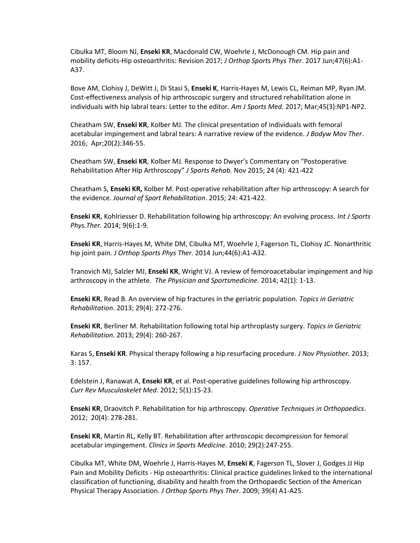Cibulka MT, Bloom NJ, **Enseki KR**, Macdonald CW, Woehrle J, McDonough CM. Hip pain and mobility deficits-Hip osteoarthritis: Revision 2017; *J Orthop Sports Phys Ther*. 2017 Jun;47(6):A1- A37.

Bove AM, Clohisy J, DeWitt J, Di Stasi S, **Enseki K**, Harris-Hayes M, Lewis CL, Reiman MP, Ryan JM. Cost-effectiveness analysis of hip arthroscopic surgery and structured rehabilitation alone in individuals with hip labral tears: Letter to the editor. *Am J Sports Med.* 2017; Mar;45(3):NP1-NP2.

Cheatham SW, **Enseki KR**, Kolber MJ. The clinical presentation of individuals with femoral acetabular impingement and labral tears: A narrative review of the evidence. *J Bodyw Mov Ther*. 2016; Apr;20(2):346-55.

Cheatham SW, **Enseki KR**, Kolber MJ. Response to Dwyer's Commentary on "Postoperative Rehabilitation After Hip Arthroscopy" *J Sports Rehab.* Nov 2015; 24 (4): 421-422

Cheatham S, **Enseki KR,** Kolber M. Post-operative rehabilitation after hip arthroscopy: A search for the evidence. *Journal of Sport Rehabilitation*. 2015; 24: 421-422.

**Enseki KR**, Kohlriesser D. Rehabilitation following hip arthroscopy: An evolving process. *Int J Sports Phys.Ther.* 2014; 9(6):1-9.

**Enseki KR**, Harris-Hayes M, White DM, Cibulka MT, Woehrle J, Fagerson TL, Clohisy JC. Nonarthritic hip joint pain. *J Orthop Sports Phys Ther.* 2014 Jun;44(6):A1-A32.

Tranovich MJ, Salzler MJ, **Enseki KR**, Wright VJ. A review of femoroacetabular impingement and hip arthroscopy in the athlete. *The Physician and Sportsmedicine*. 2014; 42(1): 1-13.

**Enseki KR**, Read B. An overview of hip fractures in the geriatric population. *Topics in Geriatric Rehabilitation*. 2013; 29(4): 272-276.

**Enseki KR**, Berliner M. Rehabilitation following total hip arthroplasty surgery. *Topics in Geriatric Rehabilitation*. 2013; 29(4): 260-267.

Karas S, **Enseki KR**. Physical therapy following a hip resurfacing procedure. *J Nov Physiother.* 2013; 3: 157.

Edelstein J, Ranawat A, **Enseki KR**, et al. Post-operative guidelines following hip arthroscopy. *Curr Rev Musculoskelet Med*. 2012; 5(1):15-23.

**Enseki KR**, Draovitch P. Rehabilitation for hip arthroscopy. *Operative Techniques in Orthopaedics*. 2012; 20(4): 278-281.

**Enseki KR**, Martin RL, Kelly BT. Rehabilitation after arthroscopic decompression for femoral acetabular impingement. *Clinics in Sports Medicine*. 2010; 29(2):247-255.

Cibulka MT, White DM, Woehrle J, Harris-Hayes M, **Enseki K**, Fagerson TL, Slover J, Godges JJ Hip Pain and Mobility Deficits - Hip osteoarthritis: Clinical practice guidelines linked to the international classification of functioning, disability and health from the Orthopaedic Section of the American Physical Therapy Association. *J Orthop Sports Phys Ther*. 2009; 39(4) A1-A25.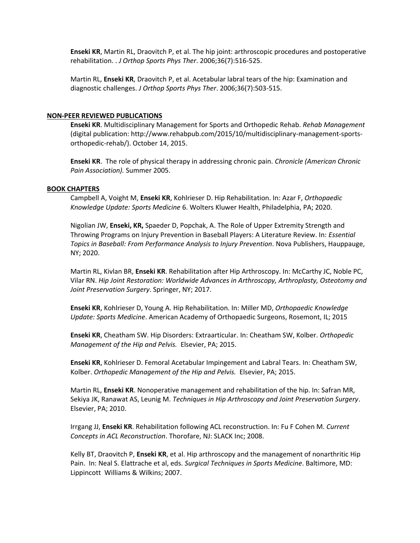**Enseki KR**, Martin RL, Draovitch P, et al. The hip joint: arthroscopic procedures and postoperative rehabilitation. . *J Orthop Sports Phys Ther*. 2006;36(7):516-525.

Martin RL, **Enseki KR**, Draovitch P, et al. Acetabular labral tears of the hip: Examination and diagnostic challenges. *J Orthop Sports Phys Ther*. 2006;36(7):503-515.

#### **NON-PEER REVIEWED PUBLICATIONS**

**Enseki KR**. Multidisciplinary Management for Sports and Orthopedic Rehab. *Rehab Management* (digital publication: http://www.rehabpub.com/2015/10/multidisciplinary-management-sportsorthopedic-rehab/). October 14, 2015.

**Enseki KR**. The role of physical therapy in addressing chronic pain. *Chronicle (American Chronic Pain Association).* Summer 2005.

#### **BOOK CHAPTERS**

Campbell A, Voight M, **Enseki KR**, Kohlrieser D. Hip Rehabilitation. In: Azar F, *Orthopaedic Knowledge Update: Sports Medicine* 6. Wolters Kluwer Health, Philadelphia, PA; 2020.

Nigolian JW, **Enseki, KR,** Spaeder D, Popchak, A. The Role of Upper Extremity Strength and Throwing Programs on Injury Prevention in Baseball Players: A Literature Review. In: *Essential Topics in Baseball: From Performance Analysis to Injury Prevention*. Nova Publishers, Hauppauge, NY; 2020.

Martin RL, Kivlan BR, **Enseki KR**. Rehabilitation after Hip Arthroscopy. In: McCarthy JC, Noble PC, Vilar RN. *Hip Joint Restoration: Worldwide Advances in Arthroscopy, Arthroplasty, Osteotomy and Joint Preservation Surgery*. Springer, NY; 2017.

**Enseki KR**, Kohlrieser D, Young A. Hip Rehabilitation. In: Miller MD, *Orthopaedic Knowledge Update: Sports Medicine*. American Academy of Orthopaedic Surgeons, Rosemont, IL; 2015

**Enseki KR**, Cheatham SW. Hip Disorders: Extraarticular. In: Cheatham SW, Kolber. *Orthopedic Management of the Hip and Pelvis.* Elsevier, PA; 2015.

**Enseki KR**, Kohlrieser D. Femoral Acetabular Impingement and Labral Tears. In: Cheatham SW, Kolber. *Orthopedic Management of the Hip and Pelvis.* Elsevier, PA; 2015.

Martin RL, **Enseki KR**. Nonoperative management and rehabilitation of the hip. In: Safran MR, Sekiya JK, Ranawat AS, Leunig M. *Techniques in Hip Arthroscopy and Joint Preservation Surgery*. Elsevier, PA; 2010.

Irrgang JJ, **Enseki KR**. Rehabilitation following ACL reconstruction. In: Fu F Cohen M. *Current Concepts in ACL Reconstruction*. Thorofare, NJ: SLACK Inc; 2008.

Kelly BT, Draovitch P, **Enseki KR**, et al. Hip arthroscopy and the management of nonarthritic Hip Pain. In: Neal S. Elattrache et al, eds. *Surgical Techniques in Sports Medicine*. Baltimore, MD: Lippincott Williams & Wilkins; 2007.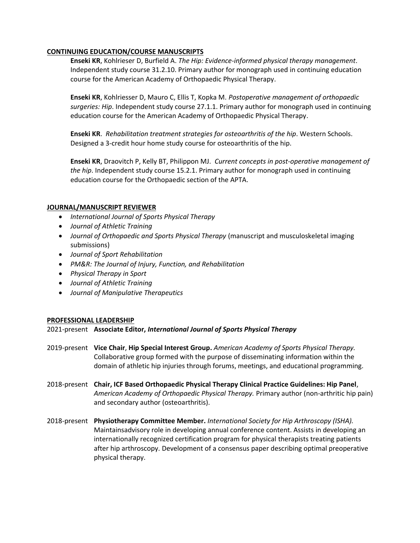### **CONTINUING EDUCATION/COURSE MANUSCRIPTS**

**Enseki KR**, Kohlrieser D, Burfield A. *The Hip: Evidence-informed physical therapy management*. Independent study course 31.2.10. Primary author for monograph used in continuing education course for the American Academy of Orthopaedic Physical Therapy.

**Enseki KR**, Kohlriesser D, Mauro C, Ellis T, Kopka M. *Postoperative management of orthopaedic surgeries: Hip*. Independent study course 27.1.1. Primary author for monograph used in continuing education course for the American Academy of Orthopaedic Physical Therapy.

**Enseki KR**. *Rehabilitation treatment strategies for osteoarthritis of the hip*. Western Schools. Designed a 3-credit hour home study course for osteoarthritis of the hip.

**Enseki KR**, Draovitch P, Kelly BT, Philippon MJ. *Current concepts in post-operative management of the hip*. Independent study course 15.2.1. Primary author for monograph used in continuing education course for the Orthopaedic section of the APTA.

### **JOURNAL/MANUSCRIPT REVIEWER**

- *International Journal of Sports Physical Therapy*
- *Journal of Athletic Training*
- *Journal of Orthopaedic and Sports Physical Therapy* (manuscript and musculoskeletal imaging submissions)
- *Journal of Sport Rehabilitation*
- *PM&R: The Journal of Injury, Function, and Rehabilitation*
- *Physical Therapy in Sport*
- *Journal of Athletic Training*
- *Journal of Manipulative Therapeutics*

### **PROFESSIONAL LEADERSHIP**

2021-present **Associate Editor,** *International Journal of Sports Physical Therapy*

- 2019-present **Vice Chair**, **Hip Special Interest Group.** *American Academy of Sports Physical Therapy.* Collaborative group formed with the purpose of disseminating information within the domain of athletic hip injuries through forums, meetings, and educational programming.
- 2018-present **Chair, ICF Based Orthopaedic Physical Therapy Clinical Practice Guidelines: Hip Panel**, *American Academy of Orthopaedic Physical Therapy.* Primary author (non-arthritic hip pain) and secondary author (osteoarthritis).
- 2018-present **Physiotherapy Committee Member.** *International Society for Hip Arthroscopy (ISHA).* Maintainsadvisory role in developing annual conference content. Assists in developing an internationally recognized certification program for physical therapists treating patients after hip arthroscopy. Development of a consensus paper describing optimal preoperative physical therapy.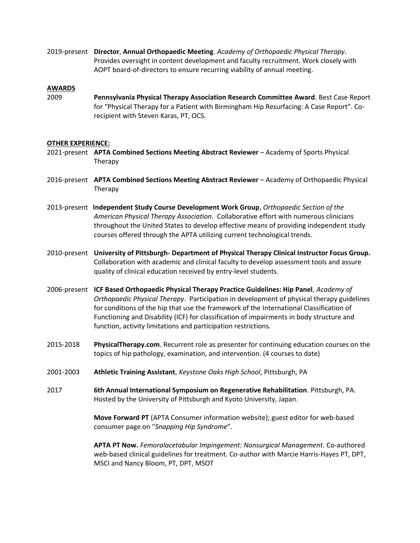2019-present **Director**, **Annual Orthopaedic Meeting**. *Academy of Orthopaedic Physical Therapy.* Provides oversight in content development and faculty recruitment. Work closely with AOPT board-of-directors to ensure recurring viability of annual meeting.

#### **AWARDS**

2009 **Pennsylvania Physical Therapy Association Research Committee Award**. Best Case Report for "Physical Therapy for a Patient with Birmingham Hip Resurfacing: A Case Report". Corecipient with Steven Karas, PT, OCS.

#### **OTHER EXPERIENCE:**

- 2021-present **APTA Combined Sections Meeting Abstract Reviewer** Academy of Sports Physical Therapy
- 2016-present **APTA Combined Sections Meeting Abstract Reviewer** Academy of Orthopaedic Physical Therapy
- 2013-present **Independent Study Course Development Work Group**, *Orthopaedic Section of the American Physical Therapy Association*. Collaborative effort with numerous clinicians throughout the United States to develop effective means of providing independent study courses offered through the APTA utilizing current technological trends.
- 2010-present **University of Pittsburgh- Department of Physical Therapy Clinical Instructor Focus Group.**  Collaboration with academic and clinical faculty to develop assessment tools and assure quality of clinical education received by entry-level students.
- 2006-present **ICF Based Orthopaedic Physical Therapy Practice Guidelines: Hip Panel**, *Academy of Orthopaedic Physical Therapy*. Participation in development of physical therapy guidelines for conditions of the hip that use the framework of the International Classification of Functioning and Disability (ICF) for classification of impairments in body structure and function, activity limitations and participation restrictions.
- 2015-2018 **PhysicalTherapy.com**. Recurrent role as presenter for continuing education courses on the topics of hip pathology, examination, and intervention. (4 courses to date)
- 2001-2003 **Athletic Training Assistant**, *Keystone Oaks High School*, Pittsburgh, PA
- 2017 **6th Annual International Symposium on Regenerative Rehabilitation**. Pittsburgh, PA. Hosted by the University of Pittsburgh and Kyoto University, Japan.

**Move Forward PT** (APTA Consumer information website); guest editor for web-based consumer page on "*Snapping Hip Syndrome*".

**APTA PT Now.** *Femoralacetabular Impingement: Nonsurgical Management*. Co-authored web-based clinical guidelines for treatment. Co-author with Marcie Harris-Hayes PT, DPT, MSCI and Nancy Bloom, PT, DPT, MSOT